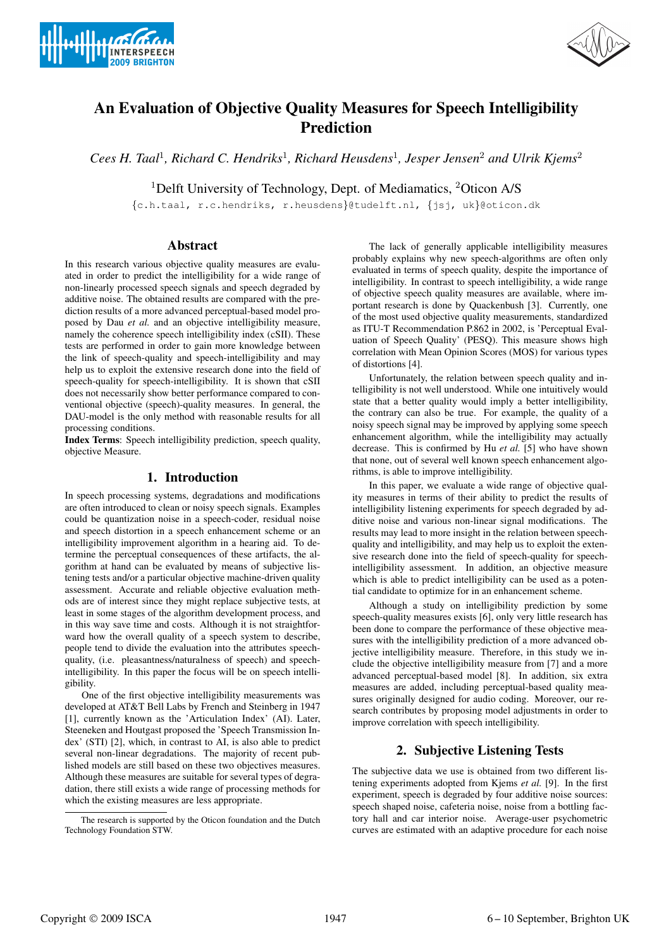



# An Evaluation of Objective Quality Measures for Speech Intelligibility Prediction

*Cees H. Taal*<sup>1</sup>*, Richard C. Hendriks*<sup>1</sup>*, Richard Heusdens*<sup>1</sup>*, Jesper Jensen*<sup>2</sup> *and Ulrik Kjems*<sup>2</sup>

<sup>1</sup>Delft University of Technology, Dept. of Mediamatics, <sup>2</sup>Oticon A/S

{c.h.taal, r.c.hendriks, r.heusdens}@tudelft.nl, {jsj, uk}@oticon.dk

### Abstract

In this research various objective quality measures are evaluated in order to predict the intelligibility for a wide range of non-linearly processed speech signals and speech degraded by additive noise. The obtained results are compared with the prediction results of a more advanced perceptual-based model proposed by Dau *et al.* and an objective intelligibility measure, namely the coherence speech intelligibility index (cSII). These tests are performed in order to gain more knowledge between the link of speech-quality and speech-intelligibility and may help us to exploit the extensive research done into the field of speech-quality for speech-intelligibility. It is shown that cSII does not necessarily show better performance compared to conventional objective (speech)-quality measures. In general, the DAU-model is the only method with reasonable results for all processing conditions.

Index Terms: Speech intelligibility prediction, speech quality, objective Measure.

## 1. Introduction

In speech processing systems, degradations and modifications are often introduced to clean or noisy speech signals. Examples could be quantization noise in a speech-coder, residual noise and speech distortion in a speech enhancement scheme or an intelligibility improvement algorithm in a hearing aid. To determine the perceptual consequences of these artifacts, the algorithm at hand can be evaluated by means of subjective listening tests and/or a particular objective machine-driven quality assessment. Accurate and reliable objective evaluation methods are of interest since they might replace subjective tests, at least in some stages of the algorithm development process, and in this way save time and costs. Although it is not straightforward how the overall quality of a speech system to describe, people tend to divide the evaluation into the attributes speechquality, (i.e. pleasantness/naturalness of speech) and speechintelligibility. In this paper the focus will be on speech intelligibility.

One of the first objective intelligibility measurements was developed at AT&T Bell Labs by French and Steinberg in 1947 [1], currently known as the 'Articulation Index' (AI). Later, Steeneken and Houtgast proposed the 'Speech Transmission Index' (STI) [2], which, in contrast to AI, is also able to predict several non-linear degradations. The majority of recent published models are still based on these two objectives measures. Although these measures are suitable for several types of degradation, there still exists a wide range of processing methods for which the existing measures are less appropriate.

The lack of generally applicable intelligibility measures probably explains why new speech-algorithms are often only evaluated in terms of speech quality, despite the importance of intelligibility. In contrast to speech intelligibility, a wide range of objective speech quality measures are available, where important research is done by Quackenbush [3]. Currently, one of the most used objective quality measurements, standardized as ITU-T Recommendation P.862 in 2002, is 'Perceptual Evaluation of Speech Quality' (PESQ). This measure shows high correlation with Mean Opinion Scores (MOS) for various types of distortions [4].

Unfortunately, the relation between speech quality and intelligibility is not well understood. While one intuitively would state that a better quality would imply a better intelligibility, the contrary can also be true. For example, the quality of a noisy speech signal may be improved by applying some speech enhancement algorithm, while the intelligibility may actually decrease. This is confirmed by Hu *et al.* [5] who have shown that none, out of several well known speech enhancement algorithms, is able to improve intelligibility.

In this paper, we evaluate a wide range of objective quality measures in terms of their ability to predict the results of intelligibility listening experiments for speech degraded by additive noise and various non-linear signal modifications. The results may lead to more insight in the relation between speechquality and intelligibility, and may help us to exploit the extensive research done into the field of speech-quality for speechintelligibility assessment. In addition, an objective measure which is able to predict intelligibility can be used as a potential candidate to optimize for in an enhancement scheme.

Although a study on intelligibility prediction by some speech-quality measures exists [6], only very little research has been done to compare the performance of these objective measures with the intelligibility prediction of a more advanced objective intelligibility measure. Therefore, in this study we include the objective intelligibility measure from [7] and a more advanced perceptual-based model [8]. In addition, six extra measures are added, including perceptual-based quality measures originally designed for audio coding. Moreover, our research contributes by proposing model adjustments in order to improve correlation with speech intelligibility.

# 2. Subjective Listening Tests

The subjective data we use is obtained from two different listening experiments adopted from Kjems *et al.* [9]. In the first experiment, speech is degraded by four additive noise sources: speech shaped noise, cafeteria noise, noise from a bottling factory hall and car interior noise. Average-user psychometric curves are estimated with an adaptive procedure for each noise

The research is supported by the Oticon foundation and the Dutch Technology Foundation STW.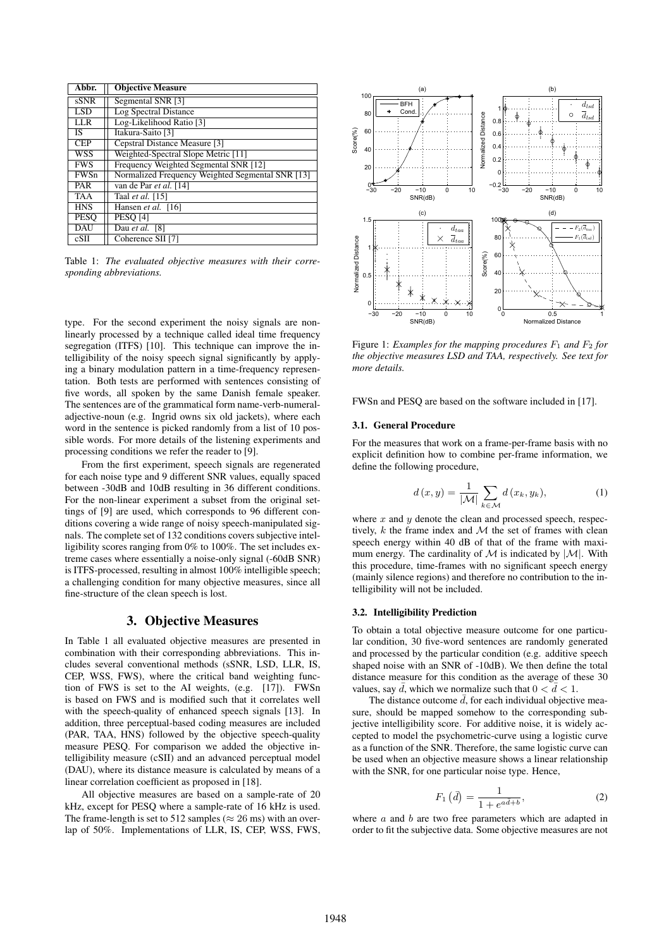| Abbr.       | <b>Objective Measure</b>                         |
|-------------|--------------------------------------------------|
| sSNR        | Segmental SNR [3]                                |
| LSD         | Log Spectral Distance                            |
| <b>LLR</b>  | Log-Likelihood Ratio [3]                         |
| IS.         | Itakura-Saito [3]                                |
| <b>CEP</b>  | Cepstral Distance Measure [3]                    |
| WSS         | Weighted-Spectral Slope Metric [11]              |
| <b>FWS</b>  | Frequency Weighted Segmental SNR [12]            |
| <b>FWSn</b> | Normalized Frequency Weighted Segmental SNR [13] |
| PAR         | van de Par et al. [14]                           |
| <b>TAA</b>  | Taal et al. [15]                                 |
| <b>HNS</b>  | Hansen et al. [16]                               |
| <b>PESO</b> | <b>PESO [4]</b>                                  |
| <b>DAU</b>  | Dau et al. [8]                                   |
| cSII        | Coherence SII [7]                                |

Table 1: *The evaluated objective measures with their corresponding abbreviations.*

type. For the second experiment the noisy signals are nonlinearly processed by a technique called ideal time frequency segregation (ITFS) [10]. This technique can improve the intelligibility of the noisy speech signal significantly by applying a binary modulation pattern in a time-frequency representation. Both tests are performed with sentences consisting of five words, all spoken by the same Danish female speaker. The sentences are of the grammatical form name-verb-numeraladjective-noun (e.g. Ingrid owns six old jackets), where each word in the sentence is picked randomly from a list of 10 possible words. For more details of the listening experiments and processing conditions we refer the reader to [9].

From the first experiment, speech signals are regenerated for each noise type and 9 different SNR values, equally spaced between -30dB and 10dB resulting in 36 different conditions. For the non-linear experiment a subset from the original settings of [9] are used, which corresponds to 96 different conditions covering a wide range of noisy speech-manipulated signals. The complete set of 132 conditions covers subjective intelligibility scores ranging from 0% to 100%. The set includes extreme cases where essentially a noise-only signal (-60dB SNR) is ITFS-processed, resulting in almost 100% intelligible speech; a challenging condition for many objective measures, since all fine-structure of the clean speech is lost.

## 3. Objective Measures

In Table 1 all evaluated objective measures are presented in combination with their corresponding abbreviations. This includes several conventional methods (sSNR, LSD, LLR, IS, CEP, WSS, FWS), where the critical band weighting function of FWS is set to the AI weights, (e.g. [17]). FWSn is based on FWS and is modified such that it correlates well with the speech-quality of enhanced speech signals [13]. In addition, three perceptual-based coding measures are included (PAR, TAA, HNS) followed by the objective speech-quality measure PESQ. For comparison we added the objective intelligibility measure (cSII) and an advanced perceptual model (DAU), where its distance measure is calculated by means of a linear correlation coefficient as proposed in [18].

All objective measures are based on a sample-rate of 20 kHz, except for PESQ where a sample-rate of 16 kHz is used. The frame-length is set to 512 samples ( $\approx$  26 ms) with an overlap of 50%. Implementations of LLR, IS, CEP, WSS, FWS,



Figure 1: *Examples for the mapping procedures*  $F_1$  *and*  $F_2$  *for the objective measures LSD and TAA, respectively. See text for more details.*

FWSn and PESQ are based on the software included in [17].

#### 3.1. General Procedure

For the measures that work on a frame-per-frame basis with no explicit definition how to combine per-frame information, we define the following procedure,

$$
d(x,y) = \frac{1}{|\mathcal{M}|} \sum_{k \in \mathcal{M}} d(x_k, y_k), \tag{1}
$$

where  $x$  and  $y$  denote the clean and processed speech, respectively,  $k$  the frame index and  $M$  the set of frames with clean speech energy within 40 dB of that of the frame with maximum energy. The cardinality of  $M$  is indicated by  $|M|$ . With this procedure, time-frames with no significant speech energy (mainly silence regions) and therefore no contribution to the intelligibility will not be included.

### 3.2. Intelligibility Prediction

To obtain a total objective measure outcome for one particular condition, 30 five-word sentences are randomly generated and processed by the particular condition (e.g. additive speech shaped noise with an SNR of -10dB). We then define the total distance measure for this condition as the average of these 30 values, say  $\bar{d}$ , which we normalize such that  $0 < \bar{d} < 1$ .

The distance outcome  $\overline{d}$ , for each individual objective measure, should be mapped somehow to the corresponding subjective intelligibility score. For additive noise, it is widely accepted to model the psychometric-curve using a logistic curve as a function of the SNR. Therefore, the same logistic curve can be used when an objective measure shows a linear relationship with the SNR, for one particular noise type. Hence,

$$
F_1\left(\bar{d}\right) = \frac{1}{1 + e^{a\bar{d} + b}},\tag{2}
$$

where  $a$  and  $b$  are two free parameters which are adapted in order to fit the subjective data. Some objective measures are not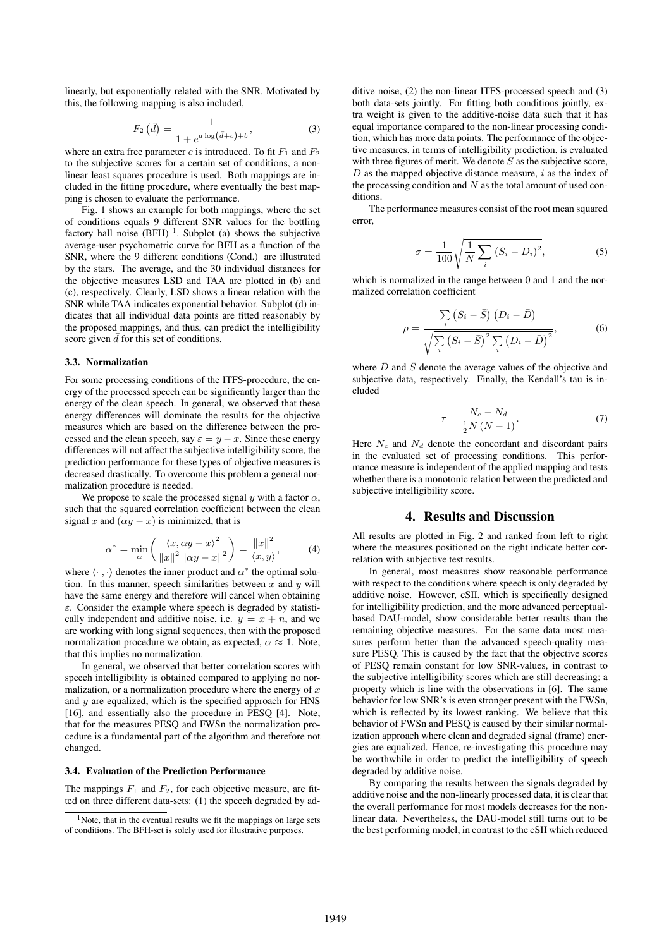linearly, but exponentially related with the SNR. Motivated by this, the following mapping is also included,

$$
F_2(d) = \frac{1}{1 + e^{a \log(\bar{d} + c) + b}},\tag{3}
$$

where an extra free parameter c is introduced. To fit  $F_1$  and  $F_2$ to the subjective scores for a certain set of conditions, a nonlinear least squares procedure is used. Both mappings are included in the fitting procedure, where eventually the best mapping is chosen to evaluate the performance.

Fig. 1 shows an example for both mappings, where the set of conditions equals 9 different SNR values for the bottling factory hall noise  $(BFH)$ <sup>1</sup>. Subplot (a) shows the subjective average-user psychometric curve for BFH as a function of the SNR, where the 9 different conditions (Cond.) are illustrated by the stars. The average, and the 30 individual distances for the objective measures LSD and TAA are plotted in (b) and (c), respectively. Clearly, LSD shows a linear relation with the SNR while TAA indicates exponential behavior. Subplot (d) indicates that all individual data points are fitted reasonably by the proposed mappings, and thus, can predict the intelligibility score given  $\bar{d}$  for this set of conditions.

#### 3.3. Normalization

For some processing conditions of the ITFS-procedure, the energy of the processed speech can be significantly larger than the energy of the clean speech. In general, we observed that these energy differences will dominate the results for the objective measures which are based on the difference between the processed and the clean speech, say  $\varepsilon = y - x$ . Since these energy differences will not affect the subjective intelligibility score, the prediction performance for these types of objective measures is decreased drastically. To overcome this problem a general normalization procedure is needed.

We propose to scale the processed signal  $y$  with a factor  $\alpha$ , such that the squared correlation coefficient between the clean signal x and  $(\alpha y - x)$  is minimized, that is

$$
\alpha^* = \min_{\alpha} \left( \frac{\langle x, \alpha y - x \rangle^2}{\|x\|^2 \, \|\alpha y - x\|^2} \right) = \frac{\|x\|^2}{\langle x, y \rangle},\tag{4}
$$

where  $\langle \cdot, \cdot \rangle$  denotes the inner product and  $\alpha^*$  the optimal solution. In this manner, speech similarities between  $x$  and  $y$  will have the same energy and therefore will cancel when obtaining  $\varepsilon$ . Consider the example where speech is degraded by statistically independent and additive noise, i.e.  $y = x + n$ , and we are working with long signal sequences, then with the proposed normalization procedure we obtain, as expected,  $\alpha \approx 1$ . Note, that this implies no normalization.

In general, we observed that better correlation scores with speech intelligibility is obtained compared to applying no normalization, or a normalization procedure where the energy of  $x$ and  $y$  are equalized, which is the specified approach for HNS [16], and essentially also the procedure in PESQ [4]. Note, that for the measures PESQ and FWSn the normalization procedure is a fundamental part of the algorithm and therefore not changed.

#### 3.4. Evaluation of the Prediction Performance

The mappings  $F_1$  and  $F_2$ , for each objective measure, are fitted on three different data-sets: (1) the speech degraded by additive noise, (2) the non-linear ITFS-processed speech and (3) both data-sets jointly. For fitting both conditions jointly, extra weight is given to the additive-noise data such that it has equal importance compared to the non-linear processing condition, which has more data points. The performance of the objective measures, in terms of intelligibility prediction, is evaluated with three figures of merit. We denote  $S$  as the subjective score,  $D$  as the mapped objective distance measure,  $i$  as the index of the processing condition and  $N$  as the total amount of used conditions.

The performance measures consist of the root mean squared error,

$$
\sigma = \frac{1}{100} \sqrt{\frac{1}{N} \sum_{i} (S_i - D_i)^2},
$$
\n(5)

which is normalized in the range between 0 and 1 and the normalized correlation coefficient

$$
\rho = \frac{\sum_{i} (S_i - \bar{S}) (D_i - \bar{D})}{\sqrt{\sum_{i} (S_i - \bar{S})^2 \sum_{i} (D_i - \bar{D})^2}},
$$
(6)

where  $\bar{D}$  and  $\bar{S}$  denote the average values of the objective and subjective data, respectively. Finally, the Kendall's tau is included

$$
\tau = \frac{N_c - N_d}{\frac{1}{2}N\left(N - 1\right)}.\tag{7}
$$

Here  $N_c$  and  $N_d$  denote the concordant and discordant pairs in the evaluated set of processing conditions. This performance measure is independent of the applied mapping and tests whether there is a monotonic relation between the predicted and subjective intelligibility score.

## 4. Results and Discussion

All results are plotted in Fig. 2 and ranked from left to right where the measures positioned on the right indicate better correlation with subjective test results.

In general, most measures show reasonable performance with respect to the conditions where speech is only degraded by additive noise. However, cSII, which is specifically designed for intelligibility prediction, and the more advanced perceptualbased DAU-model, show considerable better results than the remaining objective measures. For the same data most measures perform better than the advanced speech-quality measure PESQ. This is caused by the fact that the objective scores of PESQ remain constant for low SNR-values, in contrast to the subjective intelligibility scores which are still decreasing; a property which is line with the observations in [6]. The same behavior for low SNR's is even stronger present with the FWSn, which is reflected by its lowest ranking. We believe that this behavior of FWSn and PESQ is caused by their similar normalization approach where clean and degraded signal (frame) energies are equalized. Hence, re-investigating this procedure may be worthwhile in order to predict the intelligibility of speech degraded by additive noise.

By comparing the results between the signals degraded by additive noise and the non-linearly processed data, it is clear that the overall performance for most models decreases for the nonlinear data. Nevertheless, the DAU-model still turns out to be the best performing model, in contrast to the cSII which reduced

<sup>&</sup>lt;sup>1</sup>Note, that in the eventual results we fit the mappings on large sets of conditions. The BFH-set is solely used for illustrative purposes.